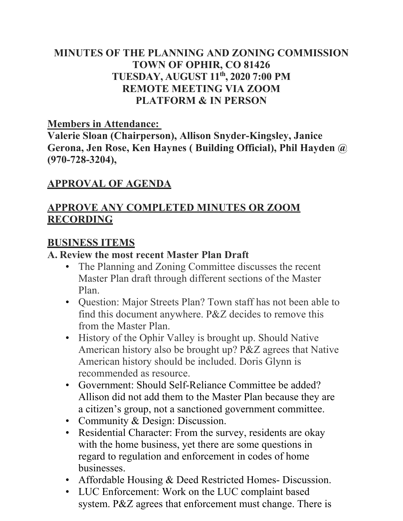# **MINUTES OF THE PLANNING AND ZONING COMMISSION TOWN OF OPHIR, CO 81426 TUESDAY, AUGUST 11th, 2020 7:00 PM REMOTE MEETING VIA ZOOM PLATFORM & IN PERSON**

#### **Members in Attendance:**

**Valerie Sloan (Chairperson), Allison Snyder-Kingsley, Janice Gerona, Jen Rose, Ken Haynes ( Building Official), Phil Hayden @ (970-728-3204),** 

### **APPROVAL OF AGENDA**

# **APPROVE ANY COMPLETED MINUTES OR ZOOM RECORDING**

#### **BUSINESS ITEMS**

#### **A. Review the most recent Master Plan Draft**

- The Planning and Zoning Committee discusses the recent Master Plan draft through different sections of the Master Plan.
- Question: Major Streets Plan? Town staff has not been able to find this document anywhere. P&Z decides to remove this from the Master Plan.
- History of the Ophir Valley is brought up. Should Native American history also be brought up? P&Z agrees that Native American history should be included. Doris Glynn is recommended as resource.
- Government: Should Self-Reliance Committee be added? Allison did not add them to the Master Plan because they are a citizen's group, not a sanctioned government committee.
- Community & Design: Discussion.
- Residential Character: From the survey, residents are okay with the home business, yet there are some questions in regard to regulation and enforcement in codes of home businesses.
- Affordable Housing & Deed Restricted Homes- Discussion.
- LUC Enforcement: Work on the LUC complaint based system. P&Z agrees that enforcement must change. There is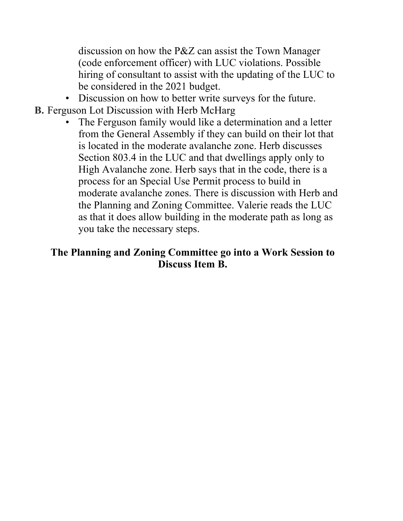discussion on how the P&Z can assist the Town Manager (code enforcement officer) with LUC violations. Possible hiring of consultant to assist with the updating of the LUC to be considered in the 2021 budget.

- Discussion on how to better write surveys for the future.
- **B.** Ferguson Lot Discussion with Herb McHarg
	- The Ferguson family would like a determination and a letter from the General Assembly if they can build on their lot that is located in the moderate avalanche zone. Herb discusses Section 803.4 in the LUC and that dwellings apply only to High Avalanche zone. Herb says that in the code, there is a process for an Special Use Permit process to build in moderate avalanche zones. There is discussion with Herb and the Planning and Zoning Committee. Valerie reads the LUC as that it does allow building in the moderate path as long as you take the necessary steps.

### **The Planning and Zoning Committee go into a Work Session to Discuss Item B.**